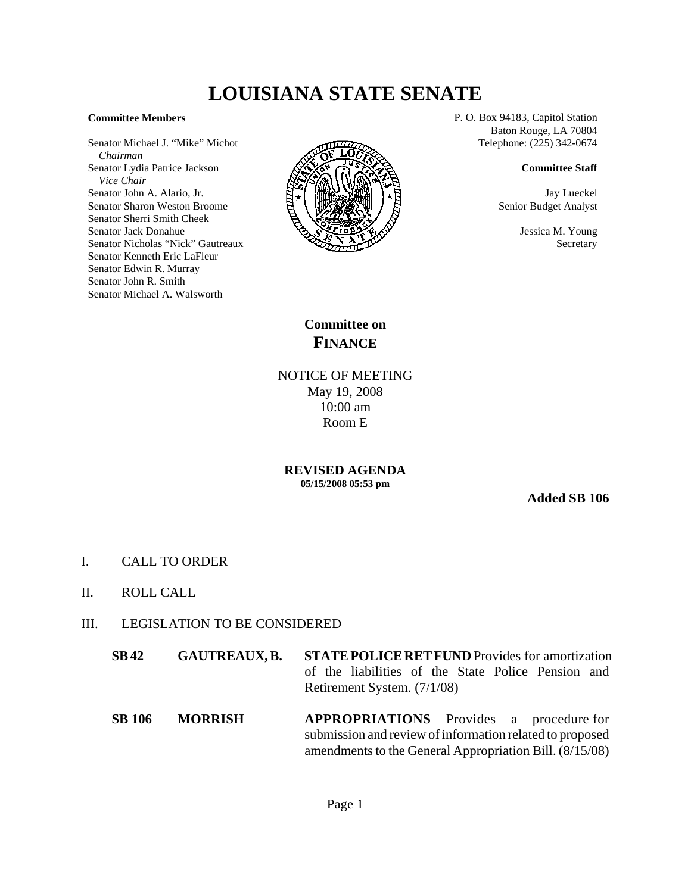## **LOUISIANA STATE SENATE**

## **Committee Members**

Senator Michael J. "Mike" Michot  *Chairman* Senator Lydia Patrice Jackson  *Vice Chair* Senator John A. Alario, Jr. Senator Sharon Weston Broome Senator Sherri Smith Cheek Senator Jack Donahue Senator Nicholas "Nick" Gautreaux Senator Kenneth Eric LaFleur Senator Edwin R. Murray Senator John R. Smith Senator Michael A. Walsworth



P. O. Box 94183, Capitol Station Baton Rouge, LA 70804 Telephone: (225) 342-0674

## **Committee Staff**

Jay Lueckel Senior Budget Analyst

> Jessica M. Young **Secretary**

**Committee on FINANCE**

NOTICE OF MEETING May 19, 2008 10:00 am Room E

**REVISED AGENDA 05/15/2008 05:53 pm**

**Added SB 106**

- I. CALL TO ORDER
- II. ROLL CALL
- III. LEGISLATION TO BE CONSIDERED
	- **SB 42 GAUTREAUX, B. STATE POLICE RET FUND** Provides for amortization of the liabilities of the State Police Pension and Retirement System. (7/1/08)
	- **SB 106 MORRISH APPROPRIATIONS** Provides a procedure for submission and review of information related to proposed amendments to the General Appropriation Bill. (8/15/08)